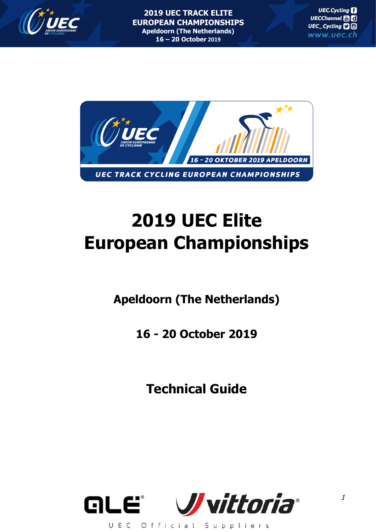



# **2019 UEC Elite European Championships**

## **Apeldoorn (The Netherlands)**

**16 - 20 October 2019**

**Technical Guide**

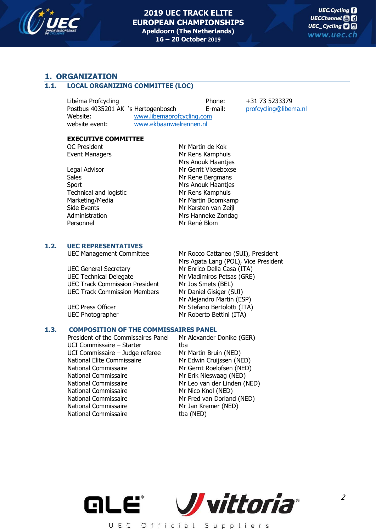

## **1. ORGANIZATION**

#### **1.1. LOCAL ORGANIZING COMMITTEE (LOC)**

Libéma Profcycling Phone: +31 73 5233379 Postbus 4035201 AK 's Hertogenbosch E-mail: [profcycling@libema.nl](mailto:profcycling@libema.nl) Website: [www.libemaprofcycling.com](http://www.libemaprofcycling.com/) website event: [www.ekbaanwielrennen.nl](http://www.ekbaanwielrennen.nl/)

## **EXECUTIVE COMMITTEE**

OC President Mr Martin de Kok

Legal Advisor **Mr Gerrit Vixseboxse** Sales Mr Rene Bergmans Sport Mrs Anouk Haanties Technical and logistic Mr Rens Kamphuis Side Events Mr Karsten van Zeijl Administration Mrs Hanneke Zondag Personnel Mr René Blom

Event Managers Mr Rens Kamphuis Mrs Anouk Haantjes Marketing/Media Mr Martin Boomkamp

#### **1.2. UEC REPRESENTATIVES**

UEC General Secretary Mr Enrico Della Casa (ITA) UEC Technical Delegate Mr Vladimiros Petsas (GRE) UEC Track Commission President Mr Jos Smets (BEL) UEC Track Commission Members Mr Daniel Gisiger (SUI)

#### **1.3. COMPOSITION OF THE COMMISSAIRES PANEL**

President of the Commissaires Panel Mr Alexander Donike (GER) UCI Commissaire – Starter tba UCI Commissaire – Judge referee Mr Martin Bruin (NED) National Elite Commissaire Mr Edwin Cruijssen (NED) National Commissaire Mr Gerrit Roelofsen (NED) National Commissaire Mr Erik Nieswaag (NED) National Commissaire Mr Leo van der Linden (NED) National Commissaire Mr Nico Knol (NED) National Commissaire Mr Fred van Dorland (NED) National Commissaire Mr Jan Kremer (NED) National Commissaire tba (NED)

UEC Management Committee Mr Rocco Cattaneo (SUI), President Mrs Agata Lang (POL), Vice President Mr Alejandro Martin (ESP) UEC Press Officer Mr Stefano Bertolotti (ITA) UEC Photographer Mr Roberto Bettini (ITA)

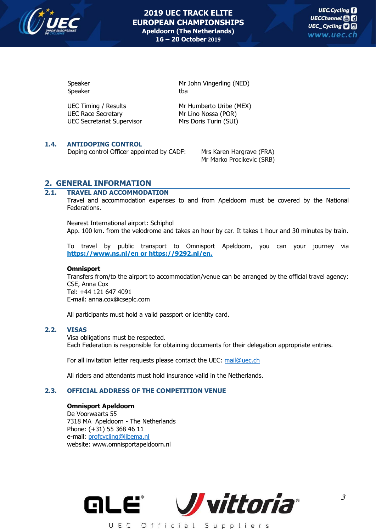

Speaker tba

UEC Timing / Results Mr Humberto Uribe (MEX) UEC Race Secretary Mr Lino Nossa (POR) UEC Secretariat Supervisor Mrs Doris Turin (SUI)

Speaker Mr John Vingerling (NED)

## **1.4. ANTIDOPING CONTROL**

Doping control Officer appointed by CADF: Mrs Karen Hargrave (FRA)

Mr Marko Procikevic (SRB)

## **2. GENERAL INFORMATION**

#### **2.1. TRAVEL AND ACCOMMODATION**

Travel and accommodation expenses to and from Apeldoorn must be covered by the National Federations.

Nearest International airport: Schiphol App. 100 km. from the velodrome and takes an hour by car. It takes 1 hour and 30 minutes by train.

To travel by public transport to Omnisport Apeldoorn, you can your journey via **https://www.ns.nl/en or https://9292.nl/en.**

#### **Omnisport**

Transfers from/to the airport to accommodation/venue can be arranged by the official travel agency: CSE, Anna Cox Tel: +44 121 647 4091 E-mail: anna.cox@cseplc.com

All participants must hold a valid passport or identity card.

#### **2.2. VISAS**

Visa obligations must be respected. Each Federation is responsible for obtaining documents for their delegation appropriate entries.

For all invitation letter requests please contact the UEC: [mail@uec.ch](mailto:mail@uec.ch)

All riders and attendants must hold insurance valid in the Netherlands.

#### **2.3. OFFICIAL ADDRESS OF THE COMPETITION VENUE**

#### **Omnisport Apeldoorn**

De Voorwaarts 55 7318 MA Apeldoorn - The Netherlands Phone: (+31) 55 368 46 11 e-mail: [profcycling@libema.nl](mailto:profcycling@libema.nl) website: www.omnisportapeldoorn.nl

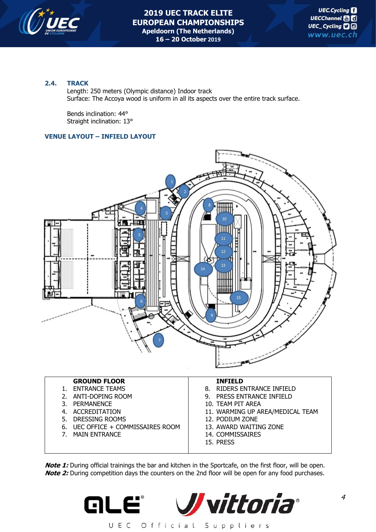

#### **2.4. TRACK**

Length: 250 meters (Olympic distance) Indoor track Surface: The Accoya wood is uniform in all its aspects over the entire track surface.

Bends inclination: 44° Straight inclination: 13°

#### **VENUE LAYOUT – INFIELD LAYOUT**



#### **GROUND FLOOR**

- 1. ENTRANCE TEAMS
- 2. ANTI-DOPING ROOM
- 3. PERMANENCE
- 4. ACCREDITATION
- 5. DRESSING ROOMS
- 6. UEC OFFICE + COMMISSAIRES ROOM
- 7. MAIN ENTRANCE

#### **INFIELD**

- 8. RIDERS ENTRANCE INFIELD
- 9. PRESS ENTRANCE INFIELD
- 10. TEAM PIT AREA
- 11. WARMING UP AREA/MEDICAL TEAM
- 12. PODIUM ZONE
- 13. AWARD WAITING ZONE
- 14. COMMISSAIRES
- 15. PRESS

**Note 1:** During official trainings the bar and kitchen in the Sportcafe, on the first floor, will be open. **Note 2:** During competition days the counters on the 2nd floor will be open for any food purchases.

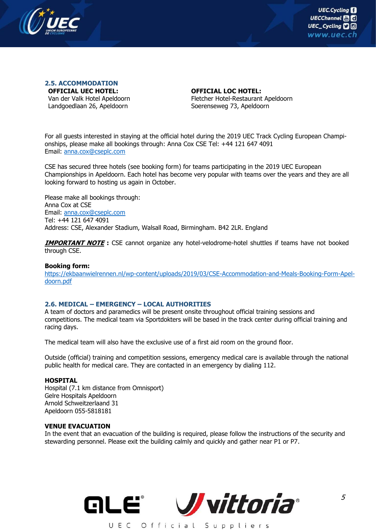

#### **2.5. ACCOMMODATION OFFICIAL UEC HOTEL:**

Van der Valk Hotel Apeldoorn Landgoedlaan 26, Apeldoorn

#### **OFFICIAL LOC HOTEL:** Fletcher Hotel-Restaurant Apeldoorn Soerenseweg 73, Apeldoorn

For all guests interested in staying at the official hotel during the 2019 UEC Track Cycling European Championships, please make all bookings through: Anna Cox CSE Tel: +44 121 647 4091 Email: [anna.cox@cseplc.com](mailto:anna.cox@cseplc.com)

CSE has secured three hotels (see booking form) for teams participating in the 2019 UEC European Championships in Apeldoorn. Each hotel has become very popular with teams over the years and they are all looking forward to hosting us again in October.

Please make all bookings through: Anna Cox at CSE Email: [anna.cox@cseplc.com](mailto:anna.cox@cseplc.com) Tel: +44 121 647 4091 Address: CSE, Alexander Stadium, Walsall Road, Birmingham. B42 2LR. England

**IMPORTANT NOTE :** CSE cannot organize any hotel-velodrome-hotel shuttles if teams have not booked through CSE.

#### **Booking form:**

[https://ekbaanwielrennen.nl/wp-content/uploads/2019/03/CSE-Accommodation-and-Meals-Booking-Form-Apel](https://ekbaanwielrennen.nl/wp-content/uploads/2019/03/CSE-Accommodation-and-Meals-Booking-Form-Apeldoorn.pdf)[doorn.pdf](https://ekbaanwielrennen.nl/wp-content/uploads/2019/03/CSE-Accommodation-and-Meals-Booking-Form-Apeldoorn.pdf)

#### **2.6. MEDICAL – EMERGENCY – LOCAL AUTHORITIES**

A team of doctors and paramedics will be present onsite throughout official training sessions and competitions. The medical team via Sportdokters will be based in the track center during official training and racing days.

The medical team will also have the exclusive use of a first aid room on the ground floor.

Outside (official) training and competition sessions, emergency medical care is available through the national public health for medical care. They are contacted in an emergency by dialing 112.

#### **HOSPITAL**

Hospital (7.1 km distance from Omnisport) Gelre Hospitals Apeldoorn Arnold Schweitzerlaand 31 Apeldoorn 055-5818181

#### **VENUE EVACUATION**

In the event that an evacuation of the building is required, please follow the instructions of the security and stewarding personnel. Please exit the building calmly and quickly and gather near P1 or P7.

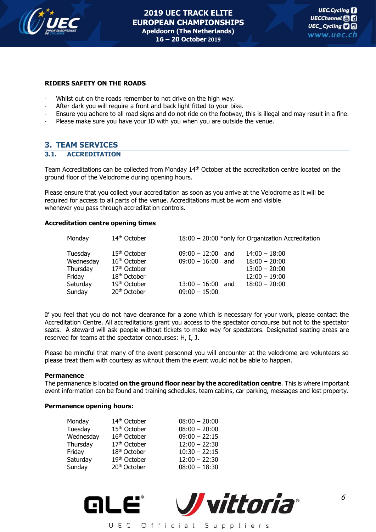

#### **RIDERS SAFETY ON THE ROADS**

- Whilst out on the roads remember to not drive on the high way.
- After dark you will require a front and back light fitted to your bike.
- Ensure you adhere to all road signs and do not ride on the footway, this is illegal and may result in a fine.
- Please make sure you have your ID with you when you are outside the venue.

## **3. TEAM SERVICES**

#### **3.1. ACCREDITATION**

Team Accreditations can be collected from Monday 14<sup>th</sup> October at the accreditation centre located on the ground floor of the Velodrome during opening hours.

Please ensure that you collect your accreditation as soon as you arrive at the Velodrome as it will be required for access to all parts of the venue. Accreditations must be worn and visible whenever you pass through accreditation controls.

#### **Accreditation centre opening times**

| Monday    | 14th October             | 18:00 - 20:00 *only for Organization Accreditation |
|-----------|--------------------------|----------------------------------------------------|
| Tuesday   | 15 <sup>th</sup> October | $14:00 - 18:00$<br>$09:00 - 12:00$<br>and          |
| Wednesday | 16 <sup>th</sup> October | $09:00 - 16:00$<br>$18:00 - 20:00$<br>and          |
| Thursday  | 17th October             | $13:00 - 20:00$                                    |
| Friday    | 18 <sup>th</sup> October | $12:00 - 19:00$                                    |
| Saturday  | 19th October             | $18:00 - 20:00$<br>$13:00 - 16:00$<br>and          |
| Sunday    | 20 <sup>th</sup> October | $09:00 - 15:00$                                    |

If you feel that you do not have clearance for a zone which is necessary for your work, please contact the Accreditation Centre. All accreditations grant you access to the spectator concourse but not to the spectator seats. A steward will ask people without tickets to make way for spectators. Designated seating areas are reserved for teams at the spectator concourses: H, I, J.

Please be mindful that many of the event personnel you will encounter at the velodrome are volunteers so please treat them with courtesy as without them the event would not be able to happen.

#### **Permanence**

The permanence is located **on the ground floor near by the accreditation centre**. This is where important event information can be found and training schedules, team cabins, car parking, messages and lost property.

#### **Permanence opening hours:**

| Monday    | 14th October             | $08:00 - 20:00$ |
|-----------|--------------------------|-----------------|
| Tuesday   | 15 <sup>th</sup> October | $08:00 - 20:00$ |
| Wednesday | 16th October             | $09:00 - 22:15$ |
| Thursday  | 17th October             | $12:00 - 22:30$ |
| Friday    | 18 <sup>th</sup> October | $10:30 - 22:15$ |
| Saturday  | 19th October             | $12:00 - 22:30$ |
| Sunday    | 20 <sup>th</sup> October | $08:00 - 18:30$ |

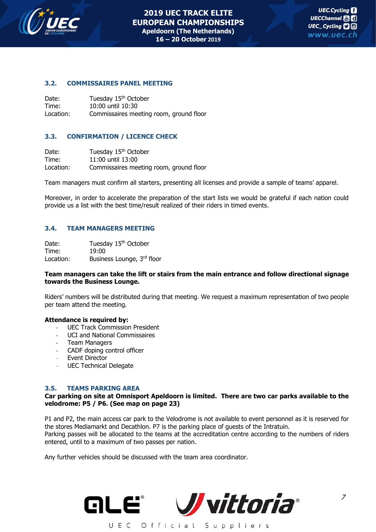

#### **3.2. COMMISSAIRES PANEL MEETING**

| Date:     | Tuesday 15 <sup>th</sup> October        |
|-----------|-----------------------------------------|
| Time:     | 10:00 until 10:30                       |
| Location: | Commissaires meeting room, ground floor |

#### **3.3. CONFIRMATION / LICENCE CHECK**

| Date:     | Tuesday 15 <sup>th</sup> October        |
|-----------|-----------------------------------------|
| Time:     | 11:00 until 13:00                       |
| Location: | Commissaires meeting room, ground floor |

Team managers must confirm all starters, presenting all licenses and provide a sample of teams' apparel.

Moreover, in order to accelerate the preparation of the start lists we would be grateful if each nation could provide us a list with the best time/result realized of their riders in timed events.

#### **3.4. TEAM MANAGERS MEETING**

Date: Tuesday 15<sup>th</sup> October Time: 19:00 Location: Business Lounge, 3rd floor

#### **Team managers can take the lift or stairs from the main entrance and follow directional signage towards the Business Lounge.**

Riders' numbers will be distributed during that meeting. We request a maximum representation of two people per team attend the meeting.

#### **Attendance is required by:**

- UEC Track Commission President
- UCI and National Commissaires
- Team Managers
- CADF doping control officer
- Event Director
- UEC Technical Delegate

#### **3.5. TEAMS PARKING AREA**

#### **Car parking on site at Omnisport Apeldoorn is limited. There are two car parks available to the velodrome: P5 / P6. (See map on page 23)**

P1 and P2, the main access car park to the Velodrome is not available to event personnel as it is reserved for the stores Mediamarkt and Decathlon. P7 is the parking place of guests of the Intratuin. Parking passes will be allocated to the teams at the accreditation centre according to the numbers of riders

entered, until to a maximum of two passes per nation.

Any further vehicles should be discussed with the team area coordinator.

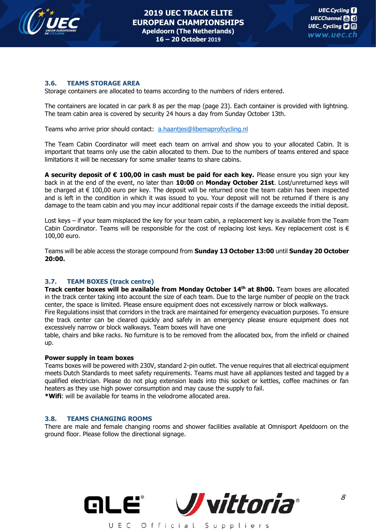

#### **3.6. TEAMS STORAGE AREA**

Storage containers are allocated to teams according to the numbers of riders entered.

The containers are located in car park 8 as per the map (page 23). Each container is provided with lightning. The team cabin area is covered by security 24 hours a day from Sunday October 13th.

Teams who arrive prior should contact: [a.haantjes@libemaprofcycling.nl](mailto:a.haantjes@libemaprofcycling.nl)

The Team Cabin Coordinator will meet each team on arrival and show you to your allocated Cabin. It is important that teams only use the cabin allocated to them. Due to the numbers of teams entered and space limitations it will be necessary for some smaller teams to share cabins.

**A security deposit of € 100,00 in cash must be paid for each key.** Please ensure you sign your key back in at the end of the event, no later than **10:00** on **Monday October 21st**. Lost/unreturned keys will be charged at € 100,00 euro per key. The deposit will be returned once the team cabin has been inspected and is left in the condition in which it was issued to you. Your deposit will not be returned if there is any damage to the team cabin and you may incur additional repair costs if the damage exceeds the initial deposit.

Lost keys – if your team misplaced the key for your team cabin, a replacement key is available from the Team Cabin Coordinator. Teams will be responsible for the cost of replacing lost keys. Key replacement cost is  $\epsilon$ 100,00 euro.

Teams will be able access the storage compound from **Sunday 13 October 13:00** until **Sunday 20 October 20:00.**

#### **3.7. TEAM BOXES (track centre)**

**Track center boxes will be available from Monday October 14th at 8h00.** Team boxes are allocated in the track center taking into account the size of each team. Due to the large number of people on the track center, the space is limited. Please ensure equipment does not excessively narrow or block walkways.

Fire Regulations insist that corridors in the track are maintained for emergency evacuation purposes. To ensure the track center can be cleared quickly and safely in an emergency please ensure equipment does not excessively narrow or block walkways. Team boxes will have one

table, chairs and bike racks. No furniture is to be removed from the allocated box, from the infield or chained up.

#### **Power supply in team boxes**

Teams boxes will be powered with 230V, standard 2-pin outlet. The venue requires that all electrical equipment meets Dutch Standards to meet safety requirements. Teams must have all appliances tested and tagged by a qualified electrician. Please do not plug extension leads into this socket or kettles, coffee machines or fan heaters as they use high power consumption and may cause the supply to fail.

**\*Wifi**: will be available for teams in the velodrome allocated area.

#### **3.8. TEAMS CHANGING ROOMS**

There are male and female changing rooms and shower facilities available at Omnisport Apeldoorn on the ground floor. Please follow the directional signage.

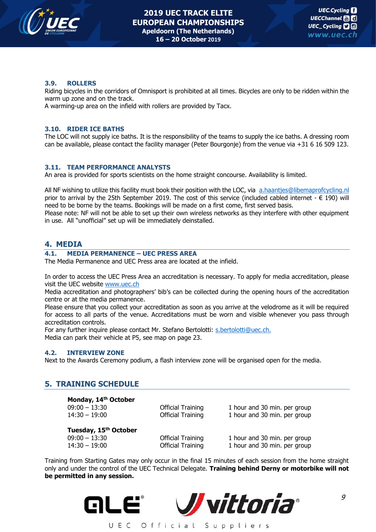

#### **3.9. ROLLERS**

Riding bicycles in the corridors of Omnisport is prohibited at all times. Bicycles are only to be ridden within the warm up zone and on the track.

A warming-up area on the infield with rollers are provided by Tacx.

#### **3.10. RIDER ICE BATHS**

The LOC will not supply ice baths. It is the responsibility of the teams to supply the ice baths. A dressing room can be available, please contact the facility manager (Peter Bourgonje) from the venue via +31 6 16 509 123.

#### **3.11. TEAM PERFORMANCE ANALYSTS**

An area is provided for sports scientists on the home straight concourse. Availability is limited.

All NF wishing to utilize this facility must book their position with the LOC, via [a.haantjes@libemaprofcycling.nl](mailto:a.haantjes@libemaprofcycling.nl) prior to arrival by the 25th September 2019. The cost of this service (included cabled internet  $- \in 190$ ) will need to be borne by the teams. Bookings will be made on a first come, first served basis.

Please note: NF will not be able to set up their own wireless networks as they interfere with other equipment in use. All "unofficial" set up will be immediately deinstalled.

## **4. MEDIA**

#### **4.1. MEDIA PERMANENCE – UEC PRESS AREA**

The Media Permanence and UEC Press area are located at the infield.

In order to access the UEC Press Area an accreditation is necessary. To apply for media accreditation, please visit the UEC website [www.uec.ch](http://www.uec.ch/)

Media accreditation and photographers' bib's can be collected during the opening hours of the accreditation centre or at the media permanence.

Please ensure that you collect your accreditation as soon as you arrive at the velodrome as it will be required for access to all parts of the venue. Accreditations must be worn and visible whenever you pass through accreditation controls.

For any further inquire please contact Mr. Stefano Bertolotti: [s.bertolotti@uec.ch.](mailto:s.bertolotti@uec.ch) Media can park their vehicle at P5, see map on page 23.

#### **4.2. INTERVIEW ZONE**

Next to the Awards Ceremony podium, a flash interview zone will be organised open for the media.

## **5. TRAINING SCHEDULE**

**Monday, 14th October**

09:00 – 13:30 Official Training 1 hour and 30 min. per group 14:30 – 19:00 Official Training 1 hour and 30 min. per group

**Tuesday, 15 th October**

09:00 – 13:30 Official Training 1 hour and 30 min. per group 14:30 – 19:00 Official Training 1 hour and 30 min. per group

Training from Starting Gates may only occur in the final 15 minutes of each session from the home straight only and under the control of the UEC Technical Delegate. **Training behind Derny or motorbike will not be permitted in any session.**

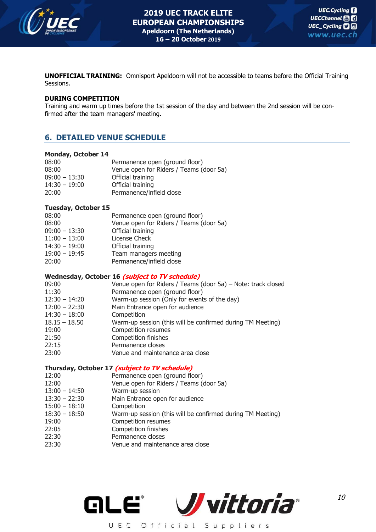

**UNOFFICIAL TRAINING:** Omnisport Apeldoorn will not be accessible to teams before the Official Training Sessions.

#### **DURING COMPETITION**

Training and warm up times before the 1st session of the day and between the 2nd session will be confirmed after the team managers' meeting.

## **6. DETAILED VENUE SCHEDULE**

#### **Monday, October 14**

| Permanence open (ground floor)          |
|-----------------------------------------|
| Venue open for Riders / Teams (door 5a) |
| Official training                       |
| Official training                       |
| Permanence/infield close                |
|                                         |

#### **Tuesday, October 15**

| 08:00           | Permanence open (ground floor)          |
|-----------------|-----------------------------------------|
| 08:00           | Venue open for Riders / Teams (door 5a) |
| $09:00 - 13:30$ | Official training                       |
| $11:00 - 13:00$ | License Check                           |
| $14:30 - 19:00$ | Official training                       |
| $19:00 - 19:45$ | Team managers meeting                   |
| 20:00           | Permanence/infield close                |

#### **Wednesday, October 16 (subject to TV schedule)**

| 09:00           | Venue open for Riders / Teams (door 5a) - Note: track closed |
|-----------------|--------------------------------------------------------------|
| 11:30           | Permanence open (ground floor)                               |
| $12:30 - 14:20$ | Warm-up session (Only for events of the day)                 |
| $12:00 - 22:30$ | Main Entrance open for audience                              |
| $14:30 - 18:00$ | Competition                                                  |
| $18.15 - 18.50$ | Warm-up session (this will be confirmed during TM Meeting)   |
| 19:00           | Competition resumes                                          |
| 21:50           | Competition finishes                                         |
| 22:15           | Permanence closes                                            |
| 23:00           | Venue and maintenance area close                             |
|                 |                                                              |

#### **Thursday, October 17 (subject to TV schedule)**

| 12:00           | Permanence open (ground floor)                             |
|-----------------|------------------------------------------------------------|
| 12:00           | Venue open for Riders / Teams (door 5a)                    |
| $13:00 - 14:50$ | Warm-up session                                            |
| $13:30 - 22:30$ | Main Entrance open for audience                            |
| $15:00 - 18:10$ | Competition                                                |
| $18:30 - 18:50$ | Warm-up session (this will be confirmed during TM Meeting) |
| 19:00           | Competition resumes                                        |
| 22:05           | <b>Competition finishes</b>                                |
| 22:30           | Permanence closes                                          |
| 23:30           | Venue and maintenance area close                           |
|                 |                                                            |

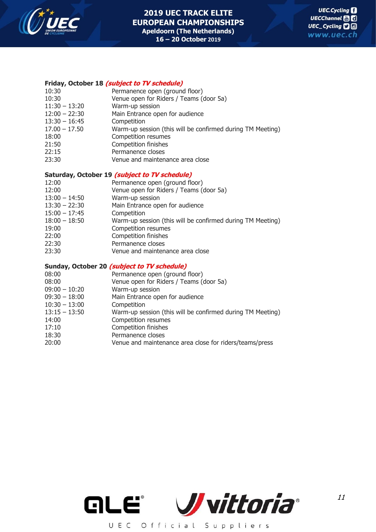

## **Friday, October 18 (subject to TV schedule)**

| 10:30           | Permanence open (ground floor)                             |
|-----------------|------------------------------------------------------------|
| 10:30           | Venue open for Riders / Teams (door 5a)                    |
| $11:30 - 13:20$ | Warm-up session                                            |
| $12:00 - 22:30$ | Main Entrance open for audience                            |
| $13:30 - 16:45$ | Competition                                                |
| $17.00 - 17.50$ | Warm-up session (this will be confirmed during TM Meeting) |
| 18:00           | Competition resumes                                        |
| 21:50           | Competition finishes                                       |
| 22:15           | Permanence closes                                          |
| 23:30           | Venue and maintenance area close                           |
|                 |                                                            |

## **Saturday, October 19 (subject to TV schedule)**

| 12:00           | Permanence open (ground floor)                             |
|-----------------|------------------------------------------------------------|
| 12:00           | Venue open for Riders / Teams (door 5a)                    |
| $13:00 - 14:50$ | Warm-up session                                            |
| $13:30 - 22:30$ | Main Entrance open for audience                            |
| $15:00 - 17:45$ | Competition                                                |
| $18:00 - 18:50$ | Warm-up session (this will be confirmed during TM Meeting) |
| 19:00           | Competition resumes                                        |
| 22:00           | Competition finishes                                       |
| 22:30           | Permanence closes                                          |
| 23:30           | Venue and maintenance area close                           |
|                 |                                                            |

#### **Sunday, October 20 (subject to TV schedule)**

| 08:00           | Permanence open (ground floor)                             |
|-----------------|------------------------------------------------------------|
| 08:00           | Venue open for Riders / Teams (door 5a)                    |
| $09:00 - 10:20$ | Warm-up session                                            |
| $09:30 - 18:00$ | Main Entrance open for audience                            |
| $10:30 - 13:00$ | Competition                                                |
| $13:15 - 13:50$ | Warm-up session (this will be confirmed during TM Meeting) |
| 14:00           | Competition resumes                                        |
| 17:10           | <b>Competition finishes</b>                                |
| 18:30           | Permanence closes                                          |
| 20:00           | Venue and maintenance area close for riders/teams/press    |
|                 |                                                            |

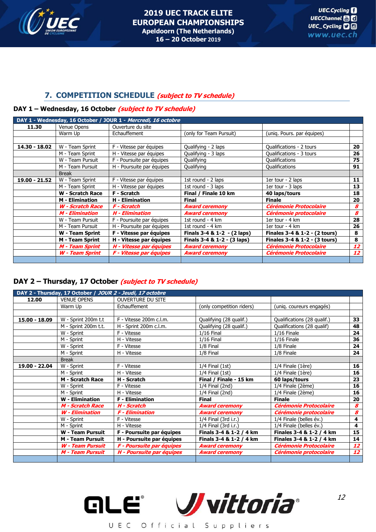

## **7. COMPETITION SCHEDULE (subject to TV schedule)**

#### **DAY 1 – Wednesday, 16 October (subject to TV schedule)**

|               |                         | DAY 1 - Wednesday, 16 October / JOUR 1 - Mercredi, 16 octobre |                             |                                      |    |
|---------------|-------------------------|---------------------------------------------------------------|-----------------------------|--------------------------------------|----|
| 11.30         | Venue Opens             | Ouverture du site                                             |                             |                                      |    |
|               | Warm Up                 | Echauffement                                                  | (only for Team Pursuit)     | (unig. Pours. par équipes)           |    |
|               |                         |                                                               |                             |                                      |    |
| 14.30 - 18.02 | W - Team Sprint         | F - Vitesse par équipes                                       | Qualifying - 2 laps         | Qualifications - 2 tours             | 20 |
|               | M - Team Sprint         | H - Vitesse par équipes                                       | Qualifying - 3 laps         | Qualifications - 3 tours             | 26 |
|               | W - Team Pursuit        | F - Poursuite par équipes                                     | Qualifying                  | <b>Qualifications</b>                | 75 |
|               | M - Team Pursuit        | H - Poursuite par équipes                                     | Qualifying                  | <b>Qualifications</b>                | 91 |
|               | <b>Break</b>            |                                                               |                             |                                      |    |
| 19.00 - 21.52 | W - Team Sprint         | F - Vitesse par équipes                                       | 1st round - 2 laps          | 1er tour - $2$ laps                  | 11 |
|               | M - Team Sprint         | H - Vitesse par équipes                                       | 1st round - 3 laps          | 1er tour - 3 laps                    | 13 |
|               | W - Scratch Race        | F - Scratch                                                   | Final / Finale 10 km        | 40 laps/tours                        | 18 |
|               | <b>M</b> - Elimination  | <b>H</b> - Elimination                                        | <b>Final</b>                | <b>Finale</b>                        | 20 |
|               | <b>W - Scratch Race</b> | F - Scratch                                                   | <b>Award ceremony</b>       | <i><b>Cérémonie Protocolaire</b></i> | 8  |
|               | <b>M</b> - Elimination  | H - Elimination                                               | <b>Award ceremony</b>       | Cérémonie protocolaire               | 8  |
|               | W - Team Pursuit        | F - Poursuite par équipes                                     | 1st round - 4 km            | 1er tour - $4 \text{ km}$            | 28 |
|               | M - Team Pursuit        | H - Poursuite par équipes                                     | 1st round - 4 km            | 1er tour - $4 \text{ km}$            | 26 |
|               | <b>W</b> - Team Sprint  | F - Vitesse par équipes                                       | Finals 3-4 & 1-2 - (2 laps) | Finales 3-4 & 1-2 - (2 tours)        | 8  |
|               | M - Team Sprint         | H - Vitesse par équipes                                       | Finals 3-4 & 1-2 - (3 laps) | Finales 3-4 & 1-2 - (3 tours)        | 8  |
|               | <b>M - Team Sprint</b>  | H - Vitesse par équipes                                       | <b>Award ceremony</b>       | <b>Cérémonie Protocolaire</b>        | 12 |
|               | <b>W</b> - Team Sprint  | F - Vitesse par équipes                                       | <b>Award ceremony</b>       | <b>Cérémonie Protocolaire</b>        | 12 |
|               |                         |                                                               |                             |                                      |    |

## **DAY 2 – Thursday, 17 October (subject to TV schedule)**

| DAY 2 - Thursday, 17 October / JOUR 2 - Jeudi, 17 octobre |                         |                           |                           |                               |                         |  |
|-----------------------------------------------------------|-------------------------|---------------------------|---------------------------|-------------------------------|-------------------------|--|
| 12.00                                                     | <b>VENUE OPENS</b>      | <b>OUVERTURE DU SITE</b>  |                           |                               |                         |  |
|                                                           | Warm Up                 | Echauffement              | (only competition riders) | (unig. coureurs engagés)      |                         |  |
|                                                           |                         |                           |                           |                               |                         |  |
| 15.00 - 18.09                                             | W - Sprint 200m t.t     | F - Vitesse 200m c.l.m.   | Qualifying (28 qualif.)   | Qualifications (28 qualif.)   | 33                      |  |
|                                                           | M - Sprint 200m t.t.    | H - Sprint 200m c.l.m.    | Qualifying (28 qualif.)   | Qualifications (28 qualif)    | 48                      |  |
|                                                           | W - Sprint              | F - Vitesse               | $1/16$ Final              | $1/16$ Finale                 | 24                      |  |
|                                                           | M - Sprint              | H - Vitesse               | $1/16$ Final              | $1/16$ Finale                 | 36                      |  |
|                                                           | W - Sprint              | F - Vitesse               | 1/8 Final                 | 1/8 Finale                    | 24                      |  |
|                                                           | M - Sprint              | H - Vitesse               | 1/8 Final                 | 1/8 Finale                    | 24                      |  |
|                                                           | <b>Break</b>            |                           |                           |                               |                         |  |
| 19.00 - 22.04                                             | W - Sprint              | F - Vitesse               | $1/4$ Final $(1st)$       | 1/4 Finale (1ère)             | 16                      |  |
|                                                           | M - Sprint              | H - Vitesse               | $1/4$ Final $(1st)$       | 1/4 Finale (1ère)             | 16                      |  |
|                                                           | M - Scratch Race        | H - Scratch               | Final / Finale - 15 km    | 60 laps/tours                 | 23                      |  |
|                                                           | W - Sprint              | F - Vitesse               | $1/4$ Final (2nd)         | 1/4 Finale (2ème)             | 16                      |  |
|                                                           | M - Sprint              | H - Vitesse               | $1/4$ Final (2nd)         | 1/4 Finale (2ème)             | 16                      |  |
|                                                           | <b>W</b> - Elimination  | <b>F</b> - Elimination    | Final                     | <b>Finale</b>                 | 20                      |  |
|                                                           | <b>M - Scratch Race</b> | H - Scratch               | <b>Award ceremony</b>     | <b>Cérémonie Protocolaire</b> | 8                       |  |
|                                                           | <b>W</b> - Elimination  | <b>F</b> - Elimination    | <b>Award ceremony</b>     | Cérémonie protocolaire        | 8                       |  |
|                                                           | W - Sprint              | F - Vitesse               | 1/4 Final (3rd i.r.)      | 1/4 Finale (belles év.)       | 4                       |  |
|                                                           | M - Sprint              | H - Vitesse               | 1/4 Final (3rd i.r.)      | 1/4 Finale (belles év.)       | $\overline{\mathbf{4}}$ |  |
|                                                           | <b>W</b> - Team Pursuit | F - Poursuite par équipes | Finals 3-4 & 1-2 / 4 km   | Finales 3-4 & 1-2 / 4 km      | 15                      |  |
|                                                           | <b>M</b> - Team Pursuit | H - Poursuite par équipes | Finals 3-4 & 1-2 / 4 km   | Finales 3-4 & 1-2 / 4 km      | 14                      |  |
|                                                           | <b>W - Team Pursuit</b> | F - Poursuite par équipes | <b>Award ceremony</b>     | <b>Cérémonie Protocolaire</b> | 12                      |  |
|                                                           | <b>M - Team Pursuit</b> | H - Poursuite par équipes | <b>Award ceremony</b>     | Cérémonie protocolaire        | 12                      |  |
|                                                           |                         |                           |                           |                               |                         |  |

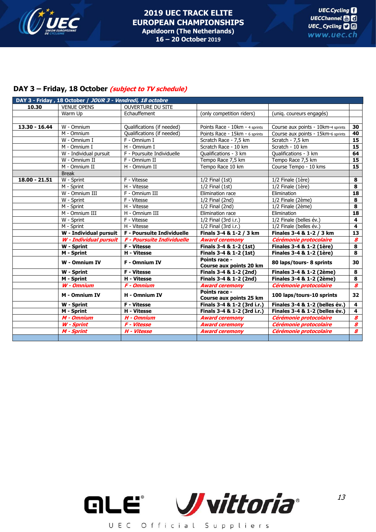

## **DAY 3 – Friday, 18 October (subject to TV schedule)**

|                 | DAY 3 - Friday, 18 October / JOUR 3 - Vendredi, 18 octobre |                                   |                                                    |                                    |                         |  |  |
|-----------------|------------------------------------------------------------|-----------------------------------|----------------------------------------------------|------------------------------------|-------------------------|--|--|
| 10.30           | <b>VENUE OPENS</b>                                         | <b>OUVERTURE DU SITE</b>          |                                                    |                                    |                         |  |  |
|                 | Warm Up                                                    | Echauffement                      | (only competition riders)                          | (uniq. coureurs engagés)           |                         |  |  |
|                 |                                                            |                                   |                                                    |                                    |                         |  |  |
| 13.30 - 16.44   | W - Omnium                                                 | Qualifications (if needed)        | Points Race - 10km - 4 sprints                     | Course aux points - 10km-4 sprints | 30                      |  |  |
|                 | M - Omnium                                                 | Qualifications (if needed)        | Points Race - 15km - 6 sprints                     | Course aux points - 15km-6 sprints | 40                      |  |  |
|                 | W - Omnium I                                               | F - Omnium I                      | Scratch Race - 7,5 km                              | Scratch - 7,5 km                   | 15                      |  |  |
|                 | M - Omnium I                                               | H - Omnium I                      | Scratch Race - 10 km                               | Scratch - 10 km                    | 15                      |  |  |
|                 | W - Individual pursuit                                     | F - Poursuite Individuelle        | Qualifications - 3 km                              | Qualifications - 3 km              | 64                      |  |  |
|                 | W - Omnium II                                              | F - Omnium II                     | Tempo Race 7,5 km                                  | Tempo Race 7,5 km                  | 15                      |  |  |
|                 | M - Omnium II                                              | H - Omnium II                     | Tempo Race 10 km                                   | Course Tempo - 10 kms              | 15                      |  |  |
|                 | <b>Break</b>                                               |                                   |                                                    |                                    |                         |  |  |
| $18.00 - 21.51$ | W - Sprint                                                 | F - Vitesse                       | $1/2$ Final $(1st)$                                | $1/2$ Finale $(1$ ère)             | 8                       |  |  |
|                 | M - Sprint                                                 | H - Vitesse                       | $1/2$ Final $(1st)$                                | 1/2 Finale (1ère)                  | 8                       |  |  |
|                 | W - Omnium III                                             | F - Omnium III                    | Elimination race                                   | Elimination                        | 18                      |  |  |
|                 | W - Sprint                                                 | F - Vitesse                       | $1/2$ Final (2nd)<br>1/2 Finale (2ème)             |                                    | 8                       |  |  |
|                 | M - Sprint                                                 | H - Vitesse                       | $1/2$ Final (2nd)                                  | 1/2 Finale (2ème)                  | 8                       |  |  |
|                 | M - Omnium III                                             | H - Omnium III                    | Elimination race                                   | Elimination                        |                         |  |  |
|                 | W - Sprint                                                 | F - Vitesse                       | 1/2 Final (3rd i.r.)                               | 1/2 Finale (belles év.)            | $\overline{\mathbf{4}}$ |  |  |
|                 | M - Sprint                                                 | H - Vitesse                       | 1/2 Final (3rd i.r.)                               | 1/2 Finale (belles év.)            | $\overline{\mathbf{4}}$ |  |  |
|                 | W - Individual pursuit                                     | F - Poursuite Individuelle        | Finals 3-4 & 1-2 / 3 km                            | Finales 3-4 & 1-2 / 3 km           | 13                      |  |  |
|                 | <b>W</b> - Individual pursuit                              | <b>F - Poursuite Individuelle</b> | <b>Award ceremony</b>                              | Cérémonie protocolaire             | $\boldsymbol{s}$        |  |  |
|                 | W - Sprint                                                 | $\overline{F}$ - Vitesse          | Finals 3-4 & 1-2 (1st)                             | Finales 3-4 & 1-2 (1ère)           | 8                       |  |  |
|                 | M - Sprint                                                 | H - Vitesse                       | Finals 3-4 & 1-2 (1st)                             | Finales 3-4 & 1-2 (1ère)           | 8                       |  |  |
|                 | W - Omnium IV                                              | <b>F</b> - Omnium IV              | Points race -<br>Course aux points 20 km           | 80 laps/tours- 8 sprints           |                         |  |  |
|                 | W - Sprint                                                 | F - Vitesse                       | Finals 3-4 & 1-2 (2nd)                             | Finales 3-4 & 1-2 (2ème)           | 8                       |  |  |
|                 | M - Sprint                                                 | H - Vitesse                       | Finals 3-4 & 1-2 (2nd)<br>Finales 3-4 & 1-2 (2ème) |                                    | 8                       |  |  |
|                 | <b>W</b> - Omnium                                          | F - Omnium                        | <b>Award ceremony</b>                              | Cérémonie protocolaire             | $\boldsymbol{s}$        |  |  |
|                 | <b>M</b> - Omnium IV                                       | H - Omnium IV                     | Points race -<br>Course aux points 25 km           | 100 laps/tours-10 sprints          | 32                      |  |  |
|                 | W - Sprint                                                 | F - Vitesse                       | Finals 3-4 & 1-2 (3rd i.r.)                        | Finales 3-4 & 1-2 (belles év.)     | $\overline{\mathbf{4}}$ |  |  |
|                 | M - Sprint                                                 | H - Vitesse                       | Finals 3-4 & 1-2 (3rd i.r.)                        | Finales 3-4 & 1-2 (belles év.)     | $\overline{\mathbf{4}}$ |  |  |
|                 | M - Omnium                                                 | H - Omnium                        | <b>Award ceremony</b>                              | Cérémonie protocolaire             | $\boldsymbol{s}$        |  |  |
|                 | <b>W</b> - Sprint                                          | F - Vitesse                       | <b>Award ceremony</b>                              | Cérémonie protocolaire             | 8                       |  |  |
|                 | M - Sprint                                                 | H - Vitesse                       | <b>Award ceremony</b>                              | Cérémonie protocolaire             | $\boldsymbol{s}$        |  |  |
|                 |                                                            |                                   |                                                    |                                    |                         |  |  |

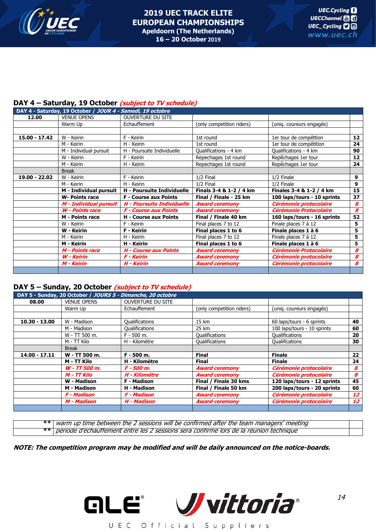

#### **DAY 4 – Saturday, 19 October (subject to TV schedule)**

|               | DAY 4 - Saturday, 19 October / JOUR 4 - Samedi, 19 octobre |                                   |                           |                               |                 |
|---------------|------------------------------------------------------------|-----------------------------------|---------------------------|-------------------------------|-----------------|
| 12.00         | <b>VENUE OPENS</b>                                         | <b>OUVERTURE DU SITE</b>          |                           |                               |                 |
|               | Warm Up                                                    | Echauffement                      | (only competition riders) | (unig. coureurs engagés)      |                 |
|               |                                                            |                                   |                           |                               |                 |
| 15.00 - 17.42 | W - Keirin                                                 | F - Keirin                        | 1st round                 | 1er tour de compéttion        | 12 <sub>2</sub> |
|               | M - Keirin                                                 | H - Keirin                        | 1st round                 | 1er tour de compétition       | 24              |
|               | M - Individual pursuit                                     | H - Poursuite Individuelle        | Qualifications - 4 km     | Qualifications - 4 km         | 90              |
|               | W - Keirin                                                 | F - Keirin                        | Repechages 1st round      | Repêchages 1er tour           | 12              |
|               | M - Keirin                                                 | H - Keirin                        | Repechages 1st round      | Repêchages 1er tour           | 24              |
|               | <b>Break</b>                                               |                                   |                           |                               |                 |
| 19.00 - 22.02 | W - Keirin                                                 | F - Keirin                        | 1/2 Final                 | 1/2 Finale                    | 9               |
|               | M - Keirin                                                 | H - Keirin                        | 1/2 Final                 | 1/2 Finale                    | 9               |
|               | M - Individual pursuit                                     | <b>H</b> - Poursuite Individuelle | Finals 3-4 & 1-2 / 4 km   | Finales 3-4 & 1-2 / 4 km      | 15              |
|               | <b>W- Points race</b>                                      | <b>F</b> - Course aux Points      | Final / Finale - 25 km    | 100 laps/tours - 10 sprints   | 37              |
|               | M - Individual pursuit                                     | H - Poursuite Individuelle        | <b>Award ceremony</b>     | Cérémonie protocolaire        | 8               |
|               | <b>W</b> - Points race                                     | F - Course aux Points             | <b>Award ceremony</b>     | <b>Cérémonie Protocolaire</b> | 8               |
|               | <b>M</b> - Points race                                     | <b>H</b> - Course aux Points      | Final / Finale 40 km      | 160 laps/tours - 16 sprints   | 52              |
|               | W - Keirin                                                 | F - Keirin                        | Final places 7 to 12      | Finale places 7 à 12          | 5               |
|               | W - Keirin                                                 | F - Keirin                        | Final places 1 to 6       | Finale places 1 à 6           | 5               |
|               | M - Keirin                                                 | H - Keirin                        | Final places 7 to 12      | Finale places 7 à 12          | 5               |
|               | M - Keirin                                                 | H - Keirin                        | Final places 1 to 6       | Finale places 1 à 6           | 5               |
|               | M - Points race                                            | <b>H - Course aux Points</b>      | <b>Award ceremony</b>     | <b>Cérémonie Protocolaire</b> | 8               |
|               | <b>W</b> - Keirin                                          | F - Keirin                        | <b>Award ceremony</b>     | Cérémonie protocolaire        | 8               |
|               | M - Keirin                                                 | H - Keirin                        | <b>Award ceremony</b>     | Cérémonie protocolaire        | 8               |
|               |                                                            |                                   |                           |                               |                 |

#### **DAY 5 – Sunday, 20 October (subject to TV schedule)**

|                 | DAY 5 - Sunday, 20 October / JOURS 5 - Dimanche, 20 octobre |                          |                           |                             |    |
|-----------------|-------------------------------------------------------------|--------------------------|---------------------------|-----------------------------|----|
|                 |                                                             |                          |                           |                             |    |
| 08.00           | <b>VENUE OPENS</b>                                          | <b>OUVERTURE DU SITE</b> |                           |                             |    |
|                 | Warm Up                                                     | Echauffement             | (only competition riders) | (unig. coureurs engagés)    |    |
|                 |                                                             |                          |                           |                             |    |
| $10.30 - 13.00$ | W - Madison                                                 | Qualifications           | 15 km                     | 60 laps/tours - 6 sprints   | 40 |
|                 | M - Madison                                                 | Qualifications           | 25 km                     | 100 laps/tours - 10 sprints | 60 |
|                 | $W - TT 500$ m.                                             | $F - 500$ m.             | <b>Qualifications</b>     | <b>Qualifications</b>       | 20 |
|                 | M - TT Kilo                                                 | H - Kilomètre            | <b>Qualifications</b>     | <b>Qualifications</b>       | 30 |
|                 | <b>Break</b>                                                |                          |                           |                             |    |
| 14.00 - 17.11   | W - TT 500 m.                                               | F - 500 m.               | <b>Final</b>              | <b>Finale</b>               | 22 |
|                 | M - TT Kilo                                                 | H - Kilomètre            | <b>Final</b>              | <b>Finale</b>               | 24 |
|                 | W - TT 500 m.                                               | F - 500 m.               | <b>Award ceremony</b>     | Cérémonie protocolaire      | 8  |
|                 | M - TT Kilo                                                 | H - Kilomètre            | <b>Award ceremony</b>     | Cérémonie protocolaire      | 8  |
|                 | W - Madison                                                 | <b>F</b> - Madison       | Final / Finale 30 kms     | 120 laps/tours - 12 sprints | 45 |
|                 | M - Madison                                                 | H - Madison              | Final / Finale 50 km      | 200 laps/tours - 20 sprints | 60 |
|                 |                                                             |                          |                           |                             |    |
|                 | F - Madison                                                 | F - Madison              | <b>Award ceremony</b>     | Cérémonie protocolaire      | 12 |
|                 | M - Madison                                                 | H - Madison              | <b>Award ceremony</b>     | Cérémonie protocolaire      | 12 |

**\*\*** warm up time between the 2 sessions will be confirmed after the team managers' meeting **\*\*** période d'échauffement entre les 2 sessions sera confirmé lors de la réunion technique

#### **NOTE: The competition program may be modified and will be daily announced on the notice-boards.**

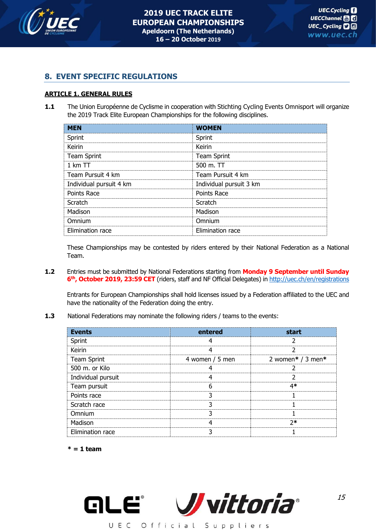

## **8. EVENT SPECIFIC REGULATIONS**

## **ARTICLE 1. GENERAL RULES**

1.1 The Union Européenne de Cyclisme in cooperation with Stichting Cycling Events Omnisport will organize the 2019 Track Elite European Championships for the following disciplines.

| <b>MEN</b>              | <b>WOMEN</b>            |
|-------------------------|-------------------------|
| Sprint                  | Sprint                  |
| Keirin                  | Keirin                  |
| <b>Team Sprint</b>      | <b>Team Sprint</b>      |
| 1 km TT                 | 500 m. TT               |
| Team Pursuit 4 km       | Team Pursuit 4 km       |
| Individual pursuit 4 km | Individual pursuit 3 km |
| Points Race             | Points Race             |
| Scratch                 | Scratch                 |
| Madison                 | Madison                 |
| Omnium                  | Omnium                  |
| Elimination race        | Elimination race        |

These Championships may be contested by riders entered by their National Federation as a National Team.

**1.2** Entries must be submitted by National Federations starting from **Monday 9 September until Sunday 6 th , October 2019, 23:59 CET** (riders, staff and NF Official Delegates) i[n http://uec.ch/en/registrations](http://uec.ch/en/registrations)

Entrants for European Championships shall hold licenses issued by a Federation affiliated to the UEC and have the nationality of the Federation doing the entry.

**1.3** National Federations may nominate the following riders / teams to the events:

| <b>Events</b>      | entered         | start             |  |
|--------------------|-----------------|-------------------|--|
| Sprint             |                 |                   |  |
| Keirin             |                 |                   |  |
| <b>Team Sprint</b> | 4 women / 5 men | 2 women* / 3 men* |  |
| 500 m. or Kilo     |                 |                   |  |
| Individual pursuit |                 |                   |  |
| Team pursuit       |                 | 4*                |  |
| Points race        |                 |                   |  |
| Scratch race       |                 |                   |  |
| Omnium             |                 |                   |  |
| Madison            |                 | つ*                |  |
| Elimination race   |                 |                   |  |

**\* = 1 team**

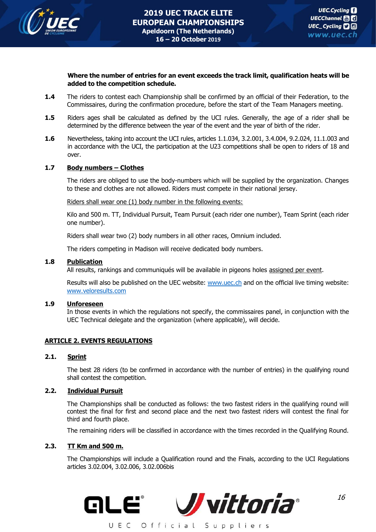

#### **Where the number of entries for an event exceeds the track limit, qualification heats will be added to the competition schedule.**

- **1.4** The riders to contest each Championship shall be confirmed by an official of their Federation, to the Commissaires, during the confirmation procedure, before the start of the Team Managers meeting.
- **1.5** Riders ages shall be calculated as defined by the UCI rules. Generally, the age of a rider shall be determined by the difference between the year of the event and the year of birth of the rider.
- **1.6** Nevertheless, taking into account the UCI rules, articles 1.1.034, 3.2.001, 3.4.004, 9.2.024, 11.1.003 and in accordance with the UCI, the participation at the U23 competitions shall be open to riders of 18 and over.

#### **1.7 Body numbers – Clothes**

The riders are obliged to use the body-numbers which will be supplied by the organization. Changes to these and clothes are not allowed. Riders must compete in their national jersey.

Riders shall wear one (1) body number in the following events:

Kilo and 500 m. TT, Individual Pursuit, Team Pursuit (each rider one number), Team Sprint (each rider one number).

Riders shall wear two (2) body numbers in all other races, Omnium included.

The riders competing in Madison will receive dedicated body numbers.

#### **1.8 Publication**

All results, rankings and communiqués will be available in pigeons holes assigned per event.

Results will also be published on the UEC website: [www.uec.ch](http://www.uec.ch/) and on the official live timing website: [www.veloresults.com](http://www.veloresults.com/)

#### **1.9 Unforeseen**

In those events in which the regulations not specify, the commissaires panel, in conjunction with the UEC Technical delegate and the organization (where applicable), will decide.

#### **ARTICLE 2. EVENTS REGULATIONS**

#### **2.1. Sprint**

The best 28 riders (to be confirmed in accordance with the number of entries) in the qualifying round shall contest the competition.

#### **2.2. Individual Pursuit**

The Championships shall be conducted as follows: the two fastest riders in the qualifying round will contest the final for first and second place and the next two fastest riders will contest the final for third and fourth place.

The remaining riders will be classified in accordance with the times recorded in the Qualifying Round.

#### **2.3. TT Km and 500 m.**

The Championships will include a Qualification round and the Finals, according to the UCI Regulations articles 3.02.004, 3.02.006, 3.02.006bis

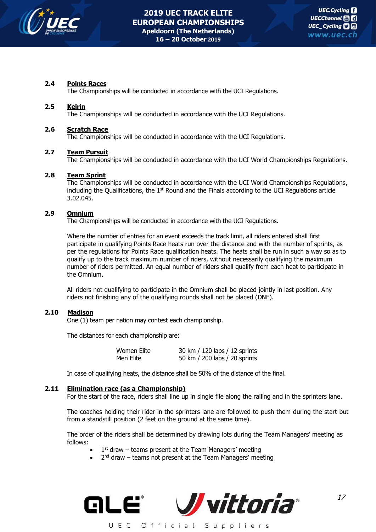

#### **2.4 Points Races**

The Championships will be conducted in accordance with the UCI Regulations.

#### **2.5 Keirin**

The Championships will be conducted in accordance with the UCI Regulations.

#### **2.6 Scratch Race**

The Championships will be conducted in accordance with the UCI Regulations.

#### **2.7 Team Pursuit**

The Championships will be conducted in accordance with the UCI World Championships Regulations.

#### **2.8 Team Sprint**

The Championships will be conducted in accordance with the UCI World Championships Regulations, including the Qualifications, the  $1<sup>st</sup>$  Round and the Finals according to the UCI Regulations article 3.02.045.

#### **2.9 Omnium**

The Championships will be conducted in accordance with the UCI Regulations.

Where the number of entries for an event exceeds the track limit, all riders entered shall first participate in qualifying Points Race heats run over the distance and with the number of sprints, as per the regulations for Points Race qualification heats. The heats shall be run in such a way so as to qualify up to the track maximum number of riders, without necessarily qualifying the maximum number of riders permitted. An equal number of riders shall qualify from each heat to participate in the Omnium.

All riders not qualifying to participate in the Omnium shall be placed jointly in last position. Any riders not finishing any of the qualifying rounds shall not be placed (DNF).

#### **2.10 Madison**

One (1) team per nation may contest each championship.

The distances for each championship are:

Women Elite 30 km / 120 laps / 12 sprints Men Elite 50 km / 200 laps / 20 sprints

In case of qualifying heats, the distance shall be 50% of the distance of the final.

#### **2.11 Elimination race (as a Championship)**

For the start of the race, riders shall line up in single file along the railing and in the sprinters lane.

The coaches holding their rider in the sprinters lane are followed to push them during the start but from a standstill position (2 feet on the ground at the same time).

The order of the riders shall be determined by drawing lots during the Team Managers' meeting as follows:

- $\bullet$  1<sup>st</sup> draw teams present at the Team Managers' meeting
- $\bullet$  2<sup>nd</sup> draw teams not present at the Team Managers' meeting

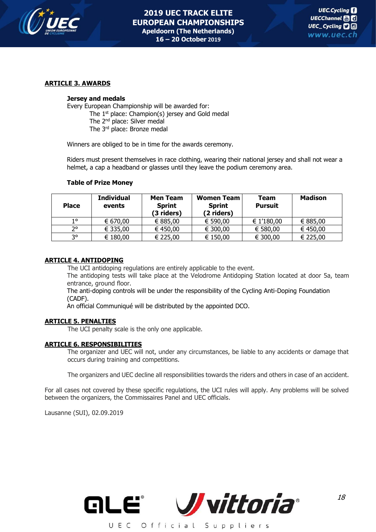

#### **ARTICLE 3. AWARDS**

#### **Jersey and medals**

Every European Championship will be awarded for: The 1<sup>st</sup> place: Champion(s) jersey and Gold medal The 2nd place: Silver medal The 3<sup>rd</sup> place: Bronze medal

Winners are obliged to be in time for the awards ceremony.

Riders must present themselves in race clothing, wearing their national jersey and shall not wear a helmet, a cap a headband or glasses until they leave the podium ceremony area.

#### **Table of Prize Money**

| <b>Place</b> | <b>Individual</b><br>events | <b>Men Team</b><br><b>Sprint</b><br>(3 riders) | <b>Women Team</b><br><b>Sprint</b><br>(2 riders) | Team<br><b>Pursuit</b> | <b>Madison</b> |
|--------------|-----------------------------|------------------------------------------------|--------------------------------------------------|------------------------|----------------|
| 10           | € 670,00                    | € 885,00                                       | € 590,00                                         | € 1'180,00             | € 885,00       |
| າ∘           | € 335,00                    | € 450,00                                       | € 300,00                                         | € 580,00               | € 450,00       |
| 3°           | € 180,00                    | € 225,00                                       | € 150,00                                         | € 300,00               | € 225,00       |

#### **ARTICLE 4. ANTIDOPING**

The UCI antidoping regulations are entirely applicable to the event.

The antidoping tests will take place at the Velodrome Antidoping Station located at door 5a, team entrance, ground floor.

The anti-doping controls will be under the responsibility of the Cycling Anti-Doping Foundation (CADF).

An official Communiqué will be distributed by the appointed DCO.

#### **ARTICLE 5. PENALTIES**

The UCI penalty scale is the only one applicable.

#### **ARTICLE 6. RESPONSIBILITIES**

The organizer and UEC will not, under any circumstances, be liable to any accidents or damage that occurs during training and competitions.

The organizers and UEC decline all responsibilities towards the riders and others in case of an accident.

For all cases not covered by these specific regulations, the UCI rules will apply. Any problems will be solved between the organizers, the Commissaires Panel and UEC officials.

Lausanne (SUI), 02.09.2019